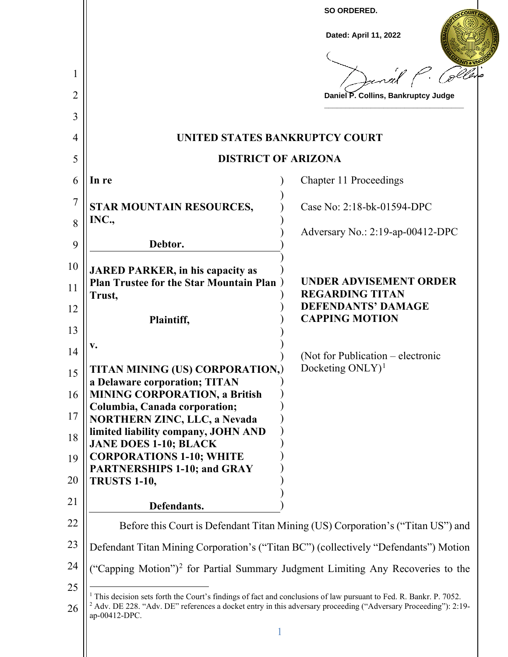|                                                                                                                                                                                                                                                                 | Dated: April 11, 2022                                                           |
|-----------------------------------------------------------------------------------------------------------------------------------------------------------------------------------------------------------------------------------------------------------------|---------------------------------------------------------------------------------|
|                                                                                                                                                                                                                                                                 | tanal                                                                           |
|                                                                                                                                                                                                                                                                 | Daniel P. Collins, Bankruptcy Judge                                             |
|                                                                                                                                                                                                                                                                 |                                                                                 |
| UNITED STATES BANKRUPTCY COURT                                                                                                                                                                                                                                  |                                                                                 |
| <b>DISTRICT OF ARIZONA</b>                                                                                                                                                                                                                                      |                                                                                 |
| In re                                                                                                                                                                                                                                                           | Chapter 11 Proceedings                                                          |
| STAR MOUNTAIN RESOURCES,<br>INC.,                                                                                                                                                                                                                               | Case No: 2:18-bk-01594-DPC                                                      |
| Debtor.                                                                                                                                                                                                                                                         | Adversary No.: 2:19-ap-00412-DPC                                                |
| <b>JARED PARKER, in his capacity as</b><br><b>Plan Trustee for the Star Mountain Plan</b> )                                                                                                                                                                     | <b>UNDER ADVISEMENT ORDER</b>                                                   |
| Trust,                                                                                                                                                                                                                                                          | <b>REGARDING TITAN</b><br><b>DEFENDANTS' DAMAGE</b><br><b>CAPPING MOTION</b>    |
| Plaintiff,                                                                                                                                                                                                                                                      |                                                                                 |
| v.                                                                                                                                                                                                                                                              | (Not for Publication – electronic                                               |
| TITAN MINING (US) CORPORATION,)<br>a Delaware corporation; TITAN                                                                                                                                                                                                | Docketing $ONLY$ <sup>1</sup>                                                   |
| <b>MINING CORPORATION, a British</b>                                                                                                                                                                                                                            |                                                                                 |
| Columbia, Canada corporation;<br><b>NORTHERN ZINC, LLC, a Nevada</b>                                                                                                                                                                                            |                                                                                 |
| limited liability company, JOHN AND<br><b>JANE DOES 1-10; BLACK</b><br><b>CORPORATIONS 1-10; WHITE</b>                                                                                                                                                          |                                                                                 |
| <b>PARTNERSHIPS 1-10; and GRAY</b><br><b>TRUSTS 1-10,</b>                                                                                                                                                                                                       |                                                                                 |
| Defendants.                                                                                                                                                                                                                                                     |                                                                                 |
|                                                                                                                                                                                                                                                                 | Before this Court is Defendant Titan Mining (US) Corporation's ("Titan US") and |
| Defendant Titan Mining Corporation's ("Titan BC") (collectively "Defendants") Motion                                                                                                                                                                            |                                                                                 |
| "Capping Motion") <sup>2</sup> for Partial Summary Judgment Limiting Any Recoveries to the                                                                                                                                                                      |                                                                                 |
| This decision sets forth the Court's findings of fact and conclusions of law pursuant to Fed. R. Bankr. P. 7052.<br><sup>2</sup> Adv. DE 228. "Adv. DE" references a docket entry in this adversary proceeding ("Adversary Proceeding"): 2:19-<br>ap-00412-DPC. |                                                                                 |
|                                                                                                                                                                                                                                                                 |                                                                                 |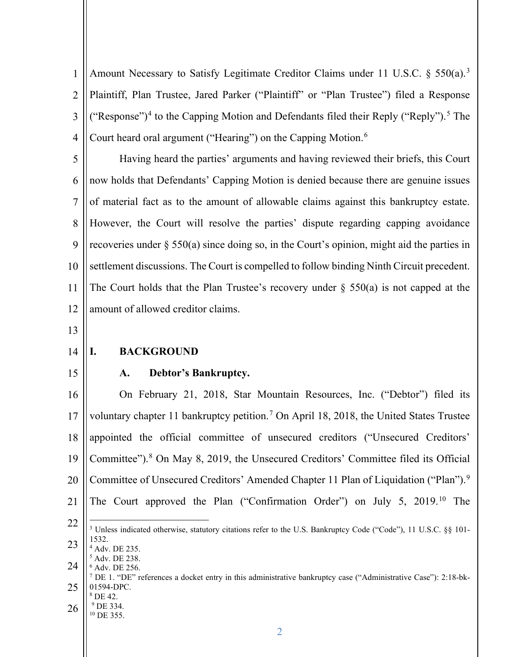1 2 3 4 Amount Necessary to Satisfy Legitimate Creditor Claims under 11 U.S.C. § 550(a).<sup>3</sup> Plaintiff, Plan Trustee, Jared Parker ("Plaintiff" or "Plan Trustee") filed a Response ("Response")<sup>4</sup> to the Capping Motion and Defendants filed their Reply ("Reply").<sup>5</sup> The Court heard oral argument ("Hearing") on the Capping Motion.<sup>6</sup>

5 6 7 8 9 10 11 12 Having heard the parties' arguments and having reviewed their briefs, this Court now holds that Defendants' Capping Motion is denied because there are genuine issues of material fact as to the amount of allowable claims against this bankruptcy estate. However, the Court will resolve the parties' dispute regarding capping avoidance recoveries under § 550(a) since doing so, in the Court's opinion, might aid the parties in settlement discussions. The Court is compelled to follow binding Ninth Circuit precedent. The Court holds that the Plan Trustee's recovery under  $\S$  550(a) is not capped at the amount of allowed creditor claims.

- 13
- 14 **I. BACKGROUND**
- 15

26

 $8$  DE 42.  $^{9}$  DE 334.<br><sup>10</sup> DE 355.

#### **A. Debtor's Bankruptcy.**

16 17 18 19 20 21 22 23 24 25 On February 21, 2018, Star Mountain Resources, Inc. ("Debtor") filed its voluntary chapter 11 bankruptcy petition.<sup>7</sup> On April 18, 2018, the United States Trustee appointed the official committee of unsecured creditors ("Unsecured Creditors' Committee").8 On May 8, 2019, the Unsecured Creditors' Committee filed its Official Committee of Unsecured Creditors' Amended Chapter 11 Plan of Liquidation ("Plan").<sup>9</sup> The Court approved the Plan ("Confirmation Order") on July 5, 2019.10 The <sup>3</sup> Unless indicated otherwise, statutory citations refer to the U.S. Bankruptcy Code ("Code"), 11 U.S.C. §§ 101-1532. <sup>4</sup> Adv. DE 235. <sup>5</sup> Adv. DE 238.  $6$  Adv. DE 256. <sup>7</sup> DE 1. "DE" references a docket entry in this administrative bankruptcy case ("Administrative Case"): 2:18-bk-01594-DPC.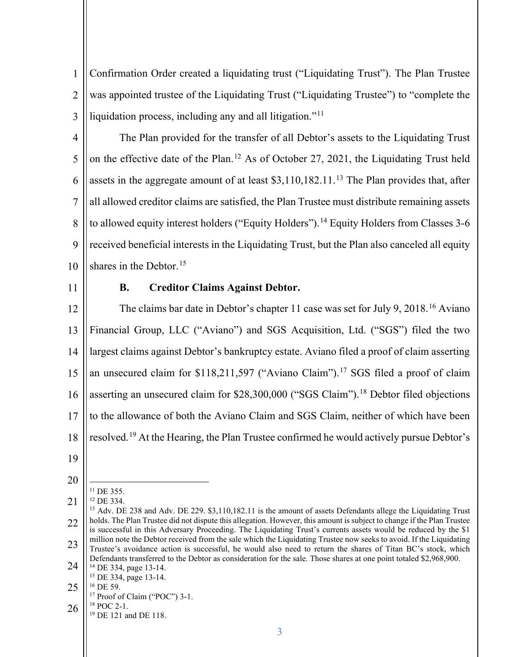1 2 3 Confirmation Order created a liquidating trust ("Liquidating Trust"). The Plan Trustee was appointed trustee of the Liquidating Trust ("Liquidating Trustee") to "complete the liquidation process, including any and all litigation."<sup>11</sup>

4 5 6 7 8 9 10 The Plan provided for the transfer of all Debtor's assets to the Liquidating Trust on the effective date of the Plan.12 As of October 27, 2021, the Liquidating Trust held assets in the aggregate amount of at least  $$3,110,182.11$ .<sup>13</sup> The Plan provides that, after all allowed creditor claims are satisfied, the Plan Trustee must distribute remaining assets to allowed equity interest holders ("Equity Holders").<sup>14</sup> Equity Holders from Classes 3-6 received beneficial interests in the Liquidating Trust, but the Plan also canceled all equity shares in the Debtor.<sup>15</sup>

11

## **B. Creditor Claims Against Debtor.**

12 13 14 15 16 17 18 The claims bar date in Debtor's chapter 11 case was set for July 9, 2018.16 Aviano Financial Group, LLC ("Aviano") and SGS Acquisition, Ltd. ("SGS") filed the two largest claims against Debtor's bankruptcy estate. Aviano filed a proof of claim asserting an unsecured claim for \$118,211,597 ("Aviano Claim").<sup>17</sup> SGS filed a proof of claim asserting an unsecured claim for \$28,300,000 ("SGS Claim").<sup>18</sup> Debtor filed objections to the allowance of both the Aviano Claim and SGS Claim, neither of which have been resolved.19 At the Hearing, the Plan Trustee confirmed he would actively pursue Debtor's

- 19
- 20
- 21 <sup>11</sup> DE 355.<br><sup>12</sup> DE 334.

- <sup>17</sup> Proof of Claim ("POC") 3-1.<br><sup>18</sup> POC 2-1.<br><sup>19</sup> DE 121 and DE 118.
- 26

<sup>22</sup> 23 24 <sup>13</sup> Adv. DE 238 and Adv. DE 229. \$3,110,182.11 is the amount of assets Defendants allege the Liquidating Trust holds. The Plan Trustee did not dispute this allegation. However, this amount is subject to change if the Plan Trustee is successful in this Adversary Proceeding. The Liquidating Trust's currents assets would be reduced by the \$1 million note the Debtor received from the sale which the Liquidating Trustee now seeks to avoid. If the Liquidating Trustee's avoidance action is successful, he would also need to return the shares of Titan BC's stock, which Defendants transferred to the Debtor as consideration for the sale. Those shares at one point totaled \$2,968,900.

<sup>14</sup> DE 334, page 13-14. <sup>15</sup> DE 334, page 13-14.<br><sup>16</sup> DE 59.

<sup>25</sup>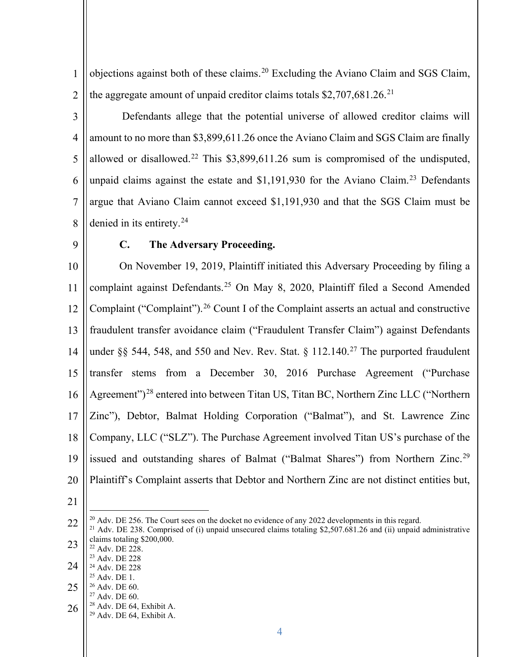1 2 objections against both of these claims.20 Excluding the Aviano Claim and SGS Claim, the aggregate amount of unpaid creditor claims totals  $$2,707,681.26$ <sup>21</sup>

3 4 5 6 7 8 Defendants allege that the potential universe of allowed creditor claims will amount to no more than \$3,899,611.26 once the Aviano Claim and SGS Claim are finally allowed or disallowed.<sup>22</sup> This \$3,899,611.26 sum is compromised of the undisputed, unpaid claims against the estate and  $$1,191,930$  for the Aviano Claim.<sup>23</sup> Defendants argue that Aviano Claim cannot exceed \$1,191,930 and that the SGS Claim must be denied in its entirety.<sup>24</sup>

9

# **C. The Adversary Proceeding.**

10 11 12 13 14 15 16 17 18 19 20 On November 19, 2019, Plaintiff initiated this Adversary Proceeding by filing a complaint against Defendants. <sup>25</sup> On May 8, 2020, Plaintiff filed a Second Amended Complaint ("Complaint").<sup>26</sup> Count I of the Complaint asserts an actual and constructive fraudulent transfer avoidance claim ("Fraudulent Transfer Claim") against Defendants under §§ 544, 548, and 550 and Nev. Rev. Stat. § 112.140.<sup>27</sup> The purported fraudulent transfer stems from a December 30, 2016 Purchase Agreement ("Purchase Agreement")28 entered into between Titan US, Titan BC, Northern Zinc LLC ("Northern Zinc"), Debtor, Balmat Holding Corporation ("Balmat"), and St. Lawrence Zinc Company, LLC ("SLZ"). The Purchase Agreement involved Titan US's purchase of the issued and outstanding shares of Balmat ("Balmat Shares") from Northern Zinc.<sup>29</sup> Plaintiff's Complaint asserts that Debtor and Northern Zinc are not distinct entities but,

- <sup>23</sup> Adv. DE 228.
- 24  $^{24}$  Adv. DE 228<br> $^{25}$  Adv. DE 1.
- 25 <sup>26</sup> Adv. DE 60.<br><sup>27</sup> Adv. DE 60. <sup>28</sup> Adv. DE 64, Exhibit A.
- 
- 26 <sup>29</sup> Adv. DE 64, Exhibit A.

<sup>22</sup> 23 <sup>20</sup> Adv. DE 256. The Court sees on the docket no evidence of any 2022 developments in this regard.<br><sup>21</sup> Adv. DE 238. Comprised of (i) unpaid unsecured claims totaling \$2,507.681.26 and (ii) unpaid administrative claims totaling \$200,000.<br> $22$  Adv. DE 228.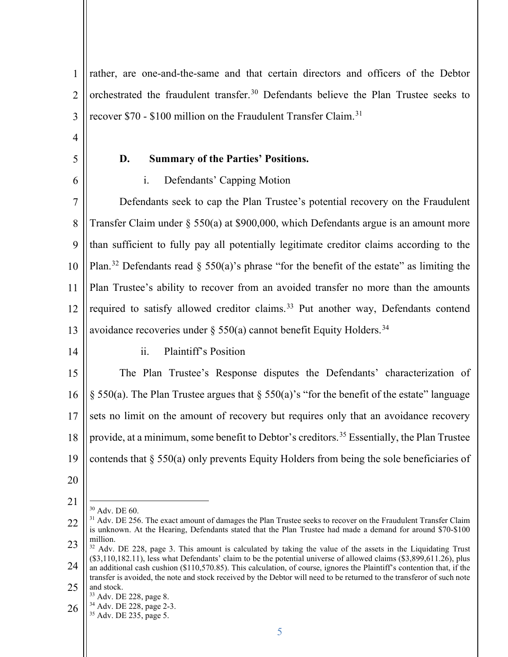1 2 3 4 5 6 7 8 9 10 11 12 13 rather, are one-and-the-same and that certain directors and officers of the Debtor orchestrated the fraudulent transfer.<sup>30</sup> Defendants believe the Plan Trustee seeks to recover \$70 - \$100 million on the Fraudulent Transfer Claim.<sup>31</sup> **D. Summary of the Parties' Positions.**  i. Defendants' Capping Motion Defendants seek to cap the Plan Trustee's potential recovery on the Fraudulent Transfer Claim under § 550(a) at \$900,000, which Defendants argue is an amount more than sufficient to fully pay all potentially legitimate creditor claims according to the Plan.<sup>32</sup> Defendants read § 550(a)'s phrase "for the benefit of the estate" as limiting the Plan Trustee's ability to recover from an avoided transfer no more than the amounts required to satisfy allowed creditor claims.<sup>33</sup> Put another way, Defendants contend avoidance recoveries under § 550(a) cannot benefit Equity Holders.<sup>34</sup>

14

## ii. Plaintiff's Position

15 16 17 18 19 The Plan Trustee's Response disputes the Defendants' characterization of § 550(a). The Plan Trustee argues that § 550(a)'s "for the benefit of the estate" language sets no limit on the amount of recovery but requires only that an avoidance recovery provide, at a minimum, some benefit to Debtor's creditors.<sup>35</sup> Essentially, the Plan Trustee contends that § 550(a) only prevents Equity Holders from being the sole beneficiaries of

- 20
- 21

<sup>30</sup> Adv. DE 60.

<sup>22</sup> 23 <sup>31</sup> Adv. DE 256. The exact amount of damages the Plan Trustee seeks to recover on the Fraudulent Transfer Claim is unknown. At the Hearing, Defendants stated that the Plan Trustee had made a demand for around \$70-\$100

<sup>24</sup>  $32$  Adv. DE 228, page 3. This amount is calculated by taking the value of the assets in the Liquidating Trust (\$3,110,182.11), less what Defendants' claim to be the potential universe of allowed claims (\$3,899,611.26), plus an additional cash cushion (\$110,570.85). This calculation, of course, ignores the Plaintiff's contention that, if the transfer is avoided, the note and stock received by the Debtor will need to be returned to the transferor of such note

<sup>25</sup> and stock.<br><sup>33</sup> Adv. DE 228, page 8.

<sup>26</sup> <sup>34</sup> Adv. DE 228, page 2-3.<br><sup>35</sup> Adv. DE 235, page 5.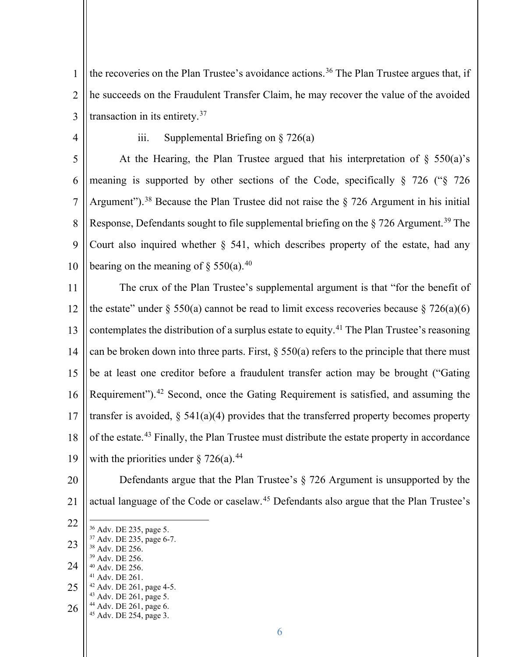1 2 3 the recoveries on the Plan Trustee's avoidance actions.<sup>36</sup> The Plan Trustee argues that, if he succeeds on the Fraudulent Transfer Claim, he may recover the value of the avoided transaction in its entirety.37

4

iii. Supplemental Briefing on § 726(a)

5 6 7 8 9 10 At the Hearing, the Plan Trustee argued that his interpretation of  $\S$  550(a)'s meaning is supported by other sections of the Code, specifically § 726 ("§ 726 Argument").<sup>38</sup> Because the Plan Trustee did not raise the  $\S$  726 Argument in his initial Response, Defendants sought to file supplemental briefing on the  $\S 726$  Argument.<sup>39</sup> The Court also inquired whether § 541, which describes property of the estate, had any bearing on the meaning of  $\S$  550(a).<sup>40</sup>

11 12 13 14 15 16 17 18 19 The crux of the Plan Trustee's supplemental argument is that "for the benefit of the estate" under  $\S 550(a)$  cannot be read to limit excess recoveries because  $\S 726(a)(6)$ contemplates the distribution of a surplus estate to equity.<sup>41</sup> The Plan Trustee's reasoning can be broken down into three parts. First,  $\S 550(a)$  refers to the principle that there must be at least one creditor before a fraudulent transfer action may be brought ("Gating Requirement").<sup>42</sup> Second, once the Gating Requirement is satisfied, and assuming the transfer is avoided,  $\S$  541(a)(4) provides that the transferred property becomes property of the estate.43 Finally, the Plan Trustee must distribute the estate property in accordance with the priorities under  $\S 726(a)$ .<sup>44</sup>

- 20
- 21
- 22 actual language of the Code or caselaw.<sup>45</sup> Defendants also argue that the Plan Trustee's
- 23 24 25 <sup>36</sup> Adv. DE 235, page 5.<br><sup>37</sup> Adv. DE 235, page 6-7.<br><sup>38</sup> Adv. DE 256.<br><sup>39</sup> Adv. DE 256. <sup>40</sup> Adv. DE 256. <sup>41</sup> Adv. DE 261. 42 Adv. DE 261, page 4-5.<br>
43 Adv. DE 261, page 5.<br>
44 Adv. DE 261, page 6.<br>
45 Adv. DE 254, page 3.
	-
- 26

Defendants argue that the Plan Trustee's § 726 Argument is unsupported by the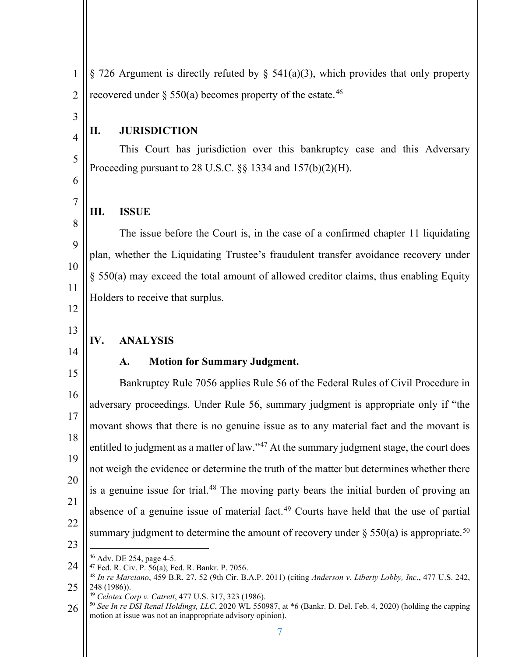1 2 § 726 Argument is directly refuted by § 541(a)(3), which provides that only property recovered under  $\S 550(a)$  becomes property of the estate.<sup>46</sup>

# 3 4

5

6

7

8

9

10

11

#### **II. JURISDICTION**

This Court has jurisdiction over this bankruptcy case and this Adversary Proceeding pursuant to 28 U.S.C.  $\S$ § 1334 and 157(b)(2)(H).

#### **III. ISSUE**

The issue before the Court is, in the case of a confirmed chapter 11 liquidating plan, whether the Liquidating Trustee's fraudulent transfer avoidance recovery under § 550(a) may exceed the total amount of allowed creditor claims, thus enabling Equity Holders to receive that surplus.

12

# 13 14

15

#### **IV. ANALYSIS**

### **A. Motion for Summary Judgment.**

#### 16 17 18 19 20 21 22 23 Bankruptcy Rule 7056 applies Rule 56 of the Federal Rules of Civil Procedure in adversary proceedings. Under Rule 56, summary judgment is appropriate only if "the movant shows that there is no genuine issue as to any material fact and the movant is entitled to judgment as a matter of law."<sup>47</sup> At the summary judgment stage, the court does not weigh the evidence or determine the truth of the matter but determines whether there is a genuine issue for trial.<sup>48</sup> The moving party bears the initial burden of proving an absence of a genuine issue of material fact.<sup>49</sup> Courts have held that the use of partial summary judgment to determine the amount of recovery under  $\S 550(a)$  is appropriate.<sup>50</sup>

- 
- 24

<sup>25</sup> <sup>46</sup> Adv. DE 254, page 4-5. 47 Fed. R. Civ. P. 56(a); Fed. R. Bankr. P. 7056. 48 *In re Marciano*, 459 B.R. 27, 52 (9th Cir. B.A.P. 2011) (citing *Anderson v. Liberty Lobby, Inc*., 477 U.S. 242, 248 (1986)).<br><sup>49</sup> Celotex Corp v. Catrett, 477 U.S. 317, 323 (1986).

<sup>26</sup> <sup>50</sup> See In re DSI Renal Holdings, LLC, 2020 WL 550987, at \*6 (Bankr. D. Del. Feb. 4, 2020) (holding the capping motion at issue was not an inappropriate advisory opinion).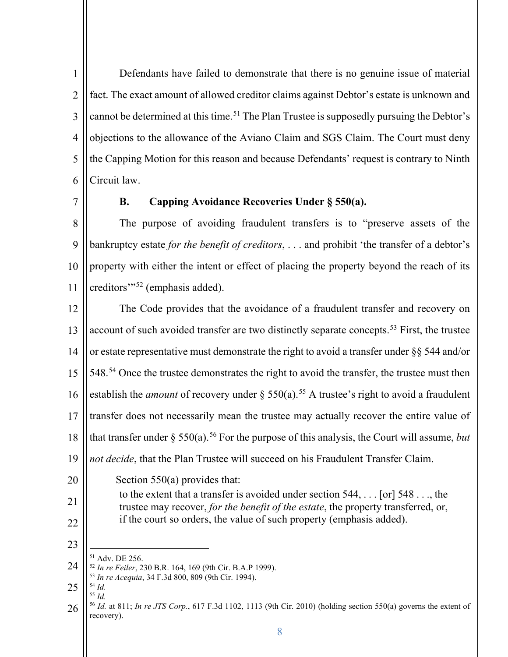1 2 3 4 5 6 Defendants have failed to demonstrate that there is no genuine issue of material fact. The exact amount of allowed creditor claims against Debtor's estate is unknown and cannot be determined at this time.<sup>51</sup> The Plan Trustee is supposedly pursuing the Debtor's objections to the allowance of the Aviano Claim and SGS Claim. The Court must deny the Capping Motion for this reason and because Defendants' request is contrary to Ninth Circuit law.

7

# **B. Capping Avoidance Recoveries Under § 550(a).**

8 9 10 11 The purpose of avoiding fraudulent transfers is to "preserve assets of the bankruptcy estate *for the benefit of creditors*, . . . and prohibit 'the transfer of a debtor's property with either the intent or effect of placing the property beyond the reach of its creditors'"52 (emphasis added).

12 13 14 15 16 17 18 19 The Code provides that the avoidance of a fraudulent transfer and recovery on account of such avoided transfer are two distinctly separate concepts.<sup>53</sup> First, the trustee or estate representative must demonstrate the right to avoid a transfer under §§ 544 and/or 548.<sup>54</sup> Once the trustee demonstrates the right to avoid the transfer, the trustee must then establish the *amount* of recovery under § 550(a).<sup>55</sup> A trustee's right to avoid a fraudulent transfer does not necessarily mean the trustee may actually recover the entire value of that transfer under  $\S 550(a)$ .<sup>56</sup> For the purpose of this analysis, the Court will assume, *but not decide*, that the Plan Trustee will succeed on his Fraudulent Transfer Claim.

20 Section 550(a) provides that:

to the extent that a transfer is avoided under section 544, . . . [or] 548 . . ., the trustee may recover, *for the benefit of the estate*, the property transferred, or, if the court so orders, the value of such property (emphasis added).

23

22

21

24 <sup>51</sup> Adv. DE 256. 52 *In re Feiler*, 230 B.R. 164, 169 (9th Cir. B.A.P 1999). 53 *In re Acequia*, 34 F.3d 800, 809 (9th Cir. 1994). 54 *Id.* 

25 <sup>55</sup> *Id.* 

<sup>26</sup> <sup>56</sup> *Id.* at 811; *In re JTS Corp.*, 617 F.3d 1102, 1113 (9th Cir. 2010) (holding section 550(a) governs the extent of recovery).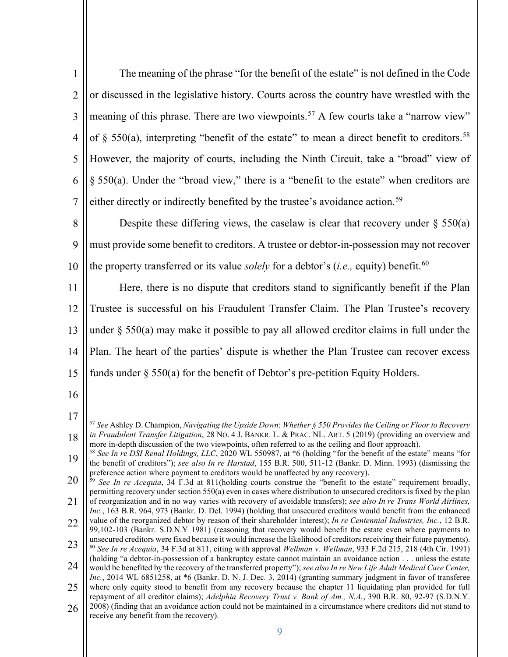| 1 <sup>1</sup> | The meaning of the phrase "for the benefit of the estate" is not defined in the Code                           |
|----------------|----------------------------------------------------------------------------------------------------------------|
|                | $2 \parallel$ or discussed in the legislative history. Courts across the country have wrestled with the        |
|                | 3    meaning of this phrase. There are two viewpoints. <sup>57</sup> A few courts take a "narrow view"         |
|                | 4    of $\S$ 550(a), interpreting "benefit of the estate" to mean a direct benefit to creditors. <sup>58</sup> |
|                | 5    However, the majority of courts, including the Ninth Circuit, take a "broad" view of                      |
|                | 6 $\ \$ § 550(a). Under the "broad view," there is a "benefit to the estate" when creditors are                |
|                | 7   either directly or indirectly benefited by the trustee's avoidance action. <sup>59</sup>                   |

8 9 10 Despite these differing views, the caselaw is clear that recovery under  $\S$  550(a) must provide some benefit to creditors. A trustee or debtor-in-possession may not recover the property transferred or its value *solely* for a debtor's (*i.e.*, equity) benefit.<sup>60</sup>

11 12 13 14 15 Here, there is no dispute that creditors stand to significantly benefit if the Plan Trustee is successful on his Fraudulent Transfer Claim. The Plan Trustee's recovery under § 550(a) may make it possible to pay all allowed creditor claims in full under the Plan. The heart of the parties' dispute is whether the Plan Trustee can recover excess funds under § 550(a) for the benefit of Debtor's pre-petition Equity Holders.

<sup>17</sup> 18 <sup>57</sup> *See* Ashley D. Champion, *Navigating the Upside Down*: *Whether § 550 Provides the Ceiling or Floor to Recovery in Fraudulent Transfer Litigation*, 28 NO. 4 J. BANKR. L. & PRAC. NL. ART. 5 (2019) (providing an overview and more in-depth discussion of the two viewpoints, often referred to as the ceiling and floor approach).

<sup>19</sup> <sup>58</sup> *See In re DSI Renal Holdings, LLC*, 2020 WL 550987, at \*6 (holding "for the benefit of the estate" means "for the benefit of creditors"); *see also In re Harstad*, 155 B.R. 500, 511-12 (Bankr. D. Minn. 1993) (dismissing the

<sup>20</sup> 21 preference action where payment to creditors would be unaffected by any recovery).<br><sup>59</sup> *See In re Acequia*, 34 F.3d at 811(holding courts construe the "benefit to the estate" requirement broadly, permitting recovery under section 550(a) even in cases where distribution to unsecured creditors is fixed by the plan of reorganization and in no way varies with recovery of avoidable transfers); *see also In re Trans World Airlines,* 

<sup>22</sup> *Inc.*, 163 B.R. 964, 973 (Bankr. D. Del. 1994) (holding that unsecured creditors would benefit from the enhanced value of the reorganized debtor by reason of their shareholder interest); *In re Centennial Industries, Inc.*, 12 B.R. 99,102-103 (Bankr. S.D.N.Y 1981) (reasoning that recovery would benefit the estate even where payments to

<sup>23</sup> 24 unsecured creditors were fixed because it would increase the likelihood of creditors receiving their future payments). <sup>60</sup> *See In re Acequia*, 34 F.3d at 811, citing with approval *Wellman v. Wellman*, 933 F.2d 215, 218 (4th Cir. 1991) (holding "a debtor-in-possession of a bankruptcy estate cannot maintain an avoidance action . . . unless the estate

would be benefited by the recovery of the transferred property"); *see also In re New Life Adult Medical Care Center, Inc.*, 2014 WL 6851258, at \*6 (Bankr. D. N. J. Dec. 3, 2014) (granting summary judgment in favor of transferee

<sup>25</sup> 26 where only equity stood to benefit from any recovery because the chapter 11 liquidating plan provided for full repayment of all creditor claims); *Adelphia Recovery Trust v. Bank of Am., N.A.*, 390 B.R. 80, 92-97 (S.D.N.Y. 2008) (finding that an avoidance action could not be maintained in a circumstance where creditors did not stand to receive any benefit from the recovery).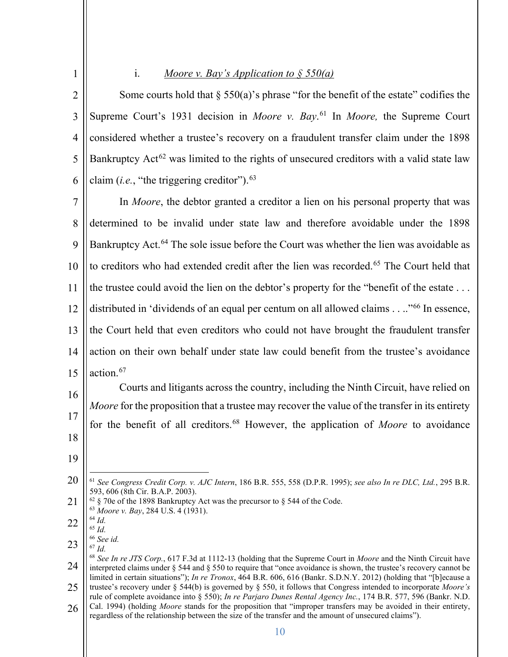| 1              | Moore v. Bay's Application to $\frac{1}{2}$ 550(a)<br>1.                                                                                                                                                                                                                                                                                                                      |
|----------------|-------------------------------------------------------------------------------------------------------------------------------------------------------------------------------------------------------------------------------------------------------------------------------------------------------------------------------------------------------------------------------|
| $\overline{2}$ | Some courts hold that $\S$ 550(a)'s phrase "for the benefit of the estate" codifies the                                                                                                                                                                                                                                                                                       |
| $\mathfrak{Z}$ | Supreme Court's 1931 decision in <i>Moore v. Bay.</i> <sup>61</sup> In <i>Moore</i> , the Supreme Court                                                                                                                                                                                                                                                                       |
| $\overline{4}$ | considered whether a trustee's recovery on a fraudulent transfer claim under the 1898                                                                                                                                                                                                                                                                                         |
| 5              | Bankruptcy Act <sup>62</sup> was limited to the rights of unsecured creditors with a valid state law                                                                                                                                                                                                                                                                          |
| 6              | claim ( <i>i.e.</i> , "the triggering creditor"). $63$                                                                                                                                                                                                                                                                                                                        |
| $\overline{7}$ | In Moore, the debtor granted a creditor a lien on his personal property that was                                                                                                                                                                                                                                                                                              |
| 8              | determined to be invalid under state law and therefore avoidable under the 1898                                                                                                                                                                                                                                                                                               |
| 9              | Bankruptcy Act. <sup>64</sup> The sole issue before the Court was whether the lien was avoidable as                                                                                                                                                                                                                                                                           |
| 10             | to creditors who had extended credit after the lien was recorded. <sup>65</sup> The Court held that                                                                                                                                                                                                                                                                           |
| 11             | the trustee could avoid the lien on the debtor's property for the "benefit of the estate                                                                                                                                                                                                                                                                                      |
| 12             | distributed in 'dividends of an equal per centum on all allowed claims." <sup>66</sup> In essence,                                                                                                                                                                                                                                                                            |
| 13             | the Court held that even creditors who could not have brought the fraudulent transfer                                                                                                                                                                                                                                                                                         |
| 14             | action on their own behalf under state law could benefit from the trustee's avoidance                                                                                                                                                                                                                                                                                         |
| 15             | action. <sup>67</sup>                                                                                                                                                                                                                                                                                                                                                         |
| 16             | Courts and litigants across the country, including the Ninth Circuit, have relied on                                                                                                                                                                                                                                                                                          |
| 17             | <i>Moore</i> for the proposition that a trustee may recover the value of the transfer in its entirety<br>for the benefit of all creditors. <sup>68</sup> However, the application of Moore to avoidance                                                                                                                                                                       |
| 18             |                                                                                                                                                                                                                                                                                                                                                                               |
| 19             |                                                                                                                                                                                                                                                                                                                                                                               |
| 20             | <sup>61</sup> See Congress Credit Corp. v. AJC Intern, 186 B.R. 555, 558 (D.P.R. 1995); see also In re DLC, Ltd., 295 B.R.                                                                                                                                                                                                                                                    |
| 21             | 593, 606 (8th Cir. B.A.P. 2003).<br>$62 \text{ }\frac{62}{3}$ 70e of the 1898 Bankruptcy Act was the precursor to § 544 of the Code.<br><sup>63</sup> Moore v. Bay, 284 U.S. 4 (1931).                                                                                                                                                                                        |
| 22             | $^{64}$ $\emph{Id}.$<br>$65$ Id.                                                                                                                                                                                                                                                                                                                                              |
| 23             | $66$ See id.<br>$67$ Id.                                                                                                                                                                                                                                                                                                                                                      |
| 24             | <sup>68</sup> See In re JTS Corp., 617 F.3d at 1112-13 (holding that the Supreme Court in Moore and the Ninth Circuit have<br>interpreted claims under $\S$ 544 and $\S$ 550 to require that "once avoidance is shown, the trustee's recovery cannot be<br>limited in certain situations"); In re Tronox, 464 B.R. 606, 616 (Bankr. S.D.N.Y. 2012) (holding that "[b]ecause a |
| 25             | trustee's recovery under $\S$ 544(b) is governed by $\S$ 550, it follows that Congress intended to incorporate Moore's<br>rule of complete avoidance into § 550); In re Parjaro Dunes Rental Agency Inc., 174 B.R. 577, 596 (Bankr. N.D.                                                                                                                                      |
| 26             | Cal. 1994) (holding Moore stands for the proposition that "improper transfers may be avoided in their entirety,<br>regardless of the relationship between the size of the transfer and the amount of unsecured claims").                                                                                                                                                      |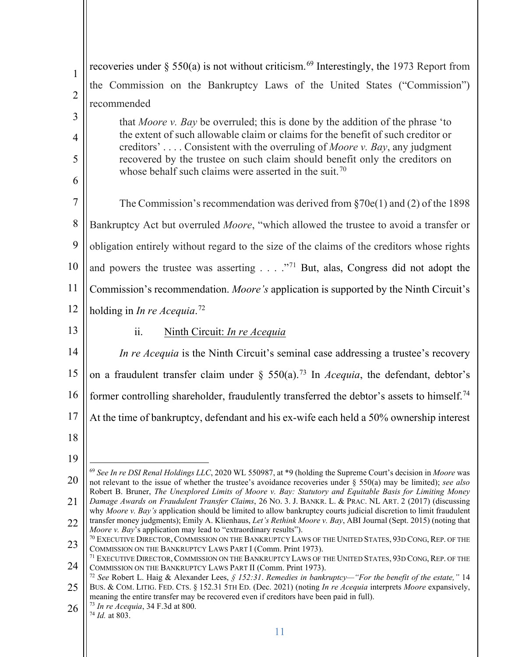| $\mathbf{1}$   | recoveries under $\S$ 550(a) is not without criticism. <sup>69</sup> Interestingly, the 1973 Report from                                                                                                                                            |
|----------------|-----------------------------------------------------------------------------------------------------------------------------------------------------------------------------------------------------------------------------------------------------|
| $\overline{2}$ | the Commission on the Bankruptcy Laws of the United States ("Commission")                                                                                                                                                                           |
|                | recommended                                                                                                                                                                                                                                         |
| 3              | that <i>Moore v. Bay</i> be overruled; this is done by the addition of the phrase 'to<br>the extent of such allowable claim or claims for the benefit of such creditor or                                                                           |
| $\overline{4}$ | creditors' Consistent with the overruling of Moore v. Bay, any judgment                                                                                                                                                                             |
| 5              | recovered by the trustee on such claim should benefit only the creditors on<br>whose behalf such claims were asserted in the suit. <sup>70</sup>                                                                                                    |
| 6              |                                                                                                                                                                                                                                                     |
| $\tau$         | The Commission's recommendation was derived from $\S70e(1)$ and (2) of the 1898                                                                                                                                                                     |
| 8              | Bankruptcy Act but overruled <i>Moore</i> , "which allowed the trustee to avoid a transfer or                                                                                                                                                       |
| 9              | obligation entirely without regard to the size of the claims of the creditors whose rights                                                                                                                                                          |
| 10             | and powers the trustee was asserting $\ldots$ ." <sup>71</sup> But, alas, Congress did not adopt the                                                                                                                                                |
| 11             | Commission's recommendation. Moore's application is supported by the Ninth Circuit's                                                                                                                                                                |
| 12             | holding in In re Acequia. <sup>72</sup>                                                                                                                                                                                                             |
| 13             | ii.<br>Ninth Circuit: In re Acequia                                                                                                                                                                                                                 |
| 14             | In re Acequia is the Ninth Circuit's seminal case addressing a trustee's recovery                                                                                                                                                                   |
| 15             | on a fraudulent transfer claim under $\S$ 550(a). <sup>73</sup> In <i>Acequia</i> , the defendant, debtor's                                                                                                                                         |
| 16             | former controlling shareholder, fraudulently transferred the debtor's assets to himself. <sup>74</sup>                                                                                                                                              |
| 17             | At the time of bankruptcy, defendant and his ex-wife each held a 50% ownership interest                                                                                                                                                             |
| 18             |                                                                                                                                                                                                                                                     |
| 19             |                                                                                                                                                                                                                                                     |
| 20             | $69$ See In re DSI Renal Holdings LLC, 2020 WL 550987, at *9 (holding the Supreme Court's decision in Moore was<br>not relevant to the issue of whether the trustee's avoidance recoveries under $\S$ 550(a) may be limited); see also              |
| 21             | Robert B. Bruner, The Unexplored Limits of Moore v. Bay: Statutory and Equitable Basis for Limiting Money<br>Damage Awards on Fraudulent Transfer Claims, 26 No. 3. J. BANKR. L. & PRAC. NL ART. 2 (2017) (discussing                               |
| 22             | why Moore v. Bay's application should be limited to allow bankruptcy courts judicial discretion to limit fraudulent<br>transfer money judgments); Emily A. Klienhaus, Let's Rethink Moore v. Bay, ABI Journal (Sept. 2015) (noting that             |
| 23             | Moore v. Bay's application may lead to "extraordinary results").<br><sup>70</sup> EXECUTIVE DIRECTOR, COMMISSION ON THE BANKRUPTCY LAWS OF THE UNITED STATES, 93D CONG, REP. OF THE<br>COMMISSION ON THE BANKRUPTCY LAWS PART I (Comm. Print 1973). |
| 24             | <sup>71</sup> EXECUTIVE DIRECTOR, COMMISSION ON THE BANKRUPTCY LAWS OF THE UNITED STATES, 93D CONG, REP. OF THE<br>COMMISSION ON THE BANKRUPTCY LAWS PART II (Comm. Print 1973).                                                                    |
| 25             | <sup>72</sup> See Robert L. Haig & Alexander Lees, § 152:31. Remedies in bankruptcy—"For the benefit of the estate," 14<br>BUS. & COM. LITIG. FED. CTS. § 152.31 5TH ED. (Dec. 2021) (noting In re Acequia interprets Moore expansively,            |
| 26             | meaning the entire transfer may be recovered even if creditors have been paid in full).<br>$^{73}$ In re Acequia, 34 F.3d at 800.                                                                                                                   |
|                | $74$ <i>Id.</i> at 803.                                                                                                                                                                                                                             |
|                |                                                                                                                                                                                                                                                     |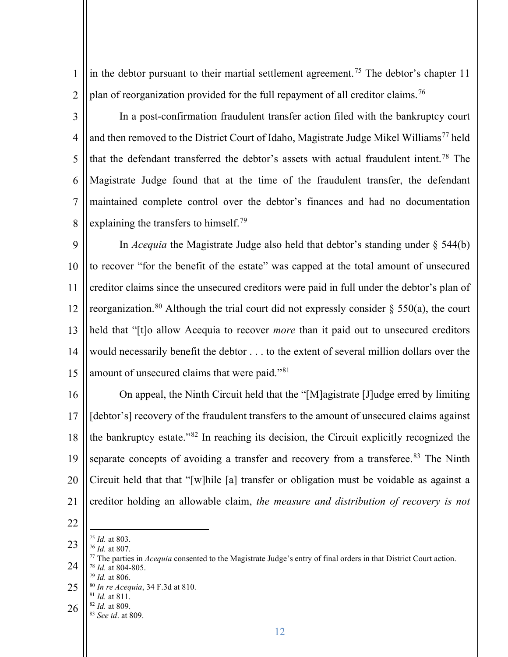1 2 in the debtor pursuant to their martial settlement agreement.<sup>75</sup> The debtor's chapter 11 plan of reorganization provided for the full repayment of all creditor claims.<sup>76</sup>

3

4 5 6 7 8 In a post-confirmation fraudulent transfer action filed with the bankruptcy court and then removed to the District Court of Idaho, Magistrate Judge Mikel Williams<sup>77</sup> held that the defendant transferred the debtor's assets with actual fraudulent intent.78 The Magistrate Judge found that at the time of the fraudulent transfer, the defendant maintained complete control over the debtor's finances and had no documentation explaining the transfers to himself.<sup>79</sup>

9 10 11 12 13 14 15 In *Acequia* the Magistrate Judge also held that debtor's standing under § 544(b) to recover "for the benefit of the estate" was capped at the total amount of unsecured creditor claims since the unsecured creditors were paid in full under the debtor's plan of reorganization.<sup>80</sup> Although the trial court did not expressly consider  $\S$  550(a), the court held that "[t]o allow Acequia to recover *more* than it paid out to unsecured creditors would necessarily benefit the debtor . . . to the extent of several million dollars over the amount of unsecured claims that were paid."81

16 17 18 19 20 21 On appeal, the Ninth Circuit held that the "[M]agistrate [J]udge erred by limiting [debtor's] recovery of the fraudulent transfers to the amount of unsecured claims against the bankruptcy estate."82 In reaching its decision, the Circuit explicitly recognized the separate concepts of avoiding a transfer and recovery from a transferee.<sup>83</sup> The Ninth Circuit held that that "[w]hile [a] transfer or obligation must be voidable as against a creditor holding an allowable claim, *the measure and distribution of recovery is not* 

- 22
- 23
- 24 25 26 <sup>75</sup> *Id.* at 803. 76 *Id.* at 807. 77 The parties in *Acequia* consented to the Magistrate Judge's entry of final orders in that District Court action. 78 *Id.* at 804-805. <sup>79</sup> *Id.* at 806. 80 *In re Acequia*, 34 F.3d at 810. <sup>81</sup> *Id.* at 811. 82 *Id.* at 809. 83 *See id*. at 809.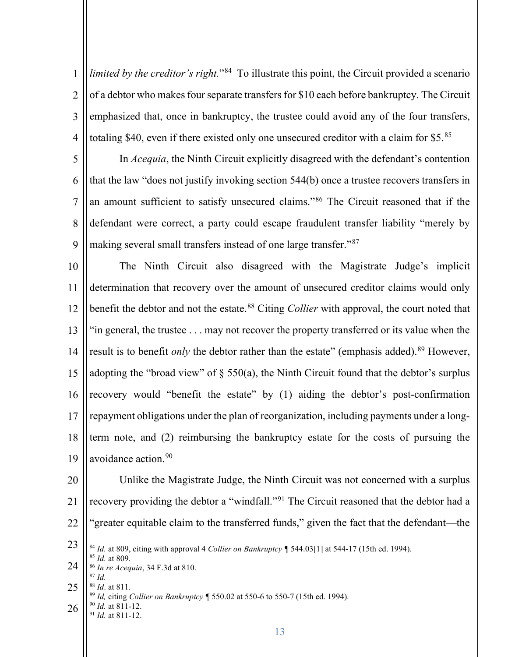1 2 3 4 *limited by the creditor's right.*"<sup>84</sup> To illustrate this point, the Circuit provided a scenario of a debtor who makes four separate transfers for \$10 each before bankruptcy. The Circuit emphasized that, once in bankruptcy, the trustee could avoid any of the four transfers, totaling \$40, even if there existed only one unsecured creditor with a claim for \$5.<sup>85</sup>

5 6 7 8 9 In *Acequia*, the Ninth Circuit explicitly disagreed with the defendant's contention that the law "does not justify invoking section 544(b) once a trustee recovers transfers in an amount sufficient to satisfy unsecured claims."86 The Circuit reasoned that if the defendant were correct, a party could escape fraudulent transfer liability "merely by making several small transfers instead of one large transfer."<sup>87</sup>

10 11 12 13 14 15 16 17 18 19 The Ninth Circuit also disagreed with the Magistrate Judge's implicit determination that recovery over the amount of unsecured creditor claims would only benefit the debtor and not the estate. 88 Citing *Collier* with approval, the court noted that "in general, the trustee . . . may not recover the property transferred or its value when the result is to benefit *only* the debtor rather than the estate" (emphasis added).<sup>89</sup> However, adopting the "broad view" of  $\S$  550(a), the Ninth Circuit found that the debtor's surplus recovery would "benefit the estate" by (1) aiding the debtor's post-confirmation repayment obligations under the plan of reorganization, including payments under a longterm note, and (2) reimbursing the bankruptcy estate for the costs of pursuing the avoidance action.<sup>90</sup>

20 21 22 Unlike the Magistrate Judge, the Ninth Circuit was not concerned with a surplus recovery providing the debtor a "windfall."<sup>91</sup> The Circuit reasoned that the debtor had a "greater equitable claim to the transferred funds," given the fact that the defendant—the

23

24 <sup>84</sup> *Id.* at 809, citing with approval 4 *Collier on Bankruptcy ¶* 544.03[1] at 544-17 (15th ed. 1994). 85 *Id.* at 809. 86 *In re Acequia*, 34 F.3d at 810.

- 25 <sup>87</sup> *Id.* 
	- 89 *Id.* citing *Collier on Bankruptcy* ¶ 550.02 at 550-6 to 550-7 (15th ed. 1994).
- 26 <sup>90</sup> *Id.* at 811-12. 91 *Id.* at 811-12.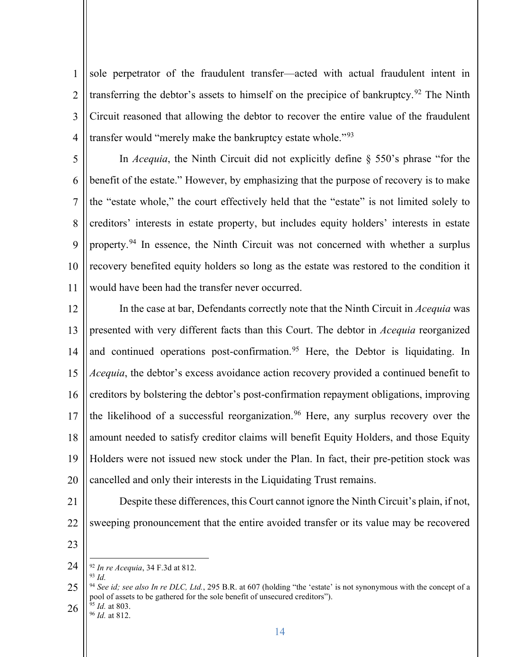1 2 3 4 sole perpetrator of the fraudulent transfer—acted with actual fraudulent intent in transferring the debtor's assets to himself on the precipice of bankruptcy.<sup>92</sup> The Ninth Circuit reasoned that allowing the debtor to recover the entire value of the fraudulent transfer would "merely make the bankruptcy estate whole."<sup>93</sup>

5 6 7 8 9 10 11 In *Acequia*, the Ninth Circuit did not explicitly define § 550's phrase "for the benefit of the estate." However, by emphasizing that the purpose of recovery is to make the "estate whole," the court effectively held that the "estate" is not limited solely to creditors' interests in estate property, but includes equity holders' interests in estate property.<sup>94</sup> In essence, the Ninth Circuit was not concerned with whether a surplus recovery benefited equity holders so long as the estate was restored to the condition it would have been had the transfer never occurred.

12 13 14 15 16 17 18 19 20 In the case at bar, Defendants correctly note that the Ninth Circuit in *Acequia* was presented with very different facts than this Court. The debtor in *Acequia* reorganized and continued operations post-confirmation.<sup>95</sup> Here, the Debtor is liquidating. In *Acequia*, the debtor's excess avoidance action recovery provided a continued benefit to creditors by bolstering the debtor's post-confirmation repayment obligations, improving the likelihood of a successful reorganization.<sup>96</sup> Here, any surplus recovery over the amount needed to satisfy creditor claims will benefit Equity Holders, and those Equity Holders were not issued new stock under the Plan. In fact, their pre-petition stock was cancelled and only their interests in the Liquidating Trust remains.

- 21
- 22
- 23

Despite these differences, this Court cannot ignore the Ninth Circuit's plain, if not,

sweeping pronouncement that the entire avoided transfer or its value may be recovered

<sup>24</sup> <sup>92</sup> *In re Acequia*, 34 F.3d at 812. <sup>93</sup> *Id.* 

<sup>25</sup> 26 <sup>94</sup> *See id; see also In re DLC, Ltd.*, 295 B.R. at 607 (holding "the 'estate' is not synonymous with the concept of a pool of assets to be gathered for the sole benefit of unsecured creditors").

<sup>95</sup> *Id.* at 803. 96 *Id.* at 812.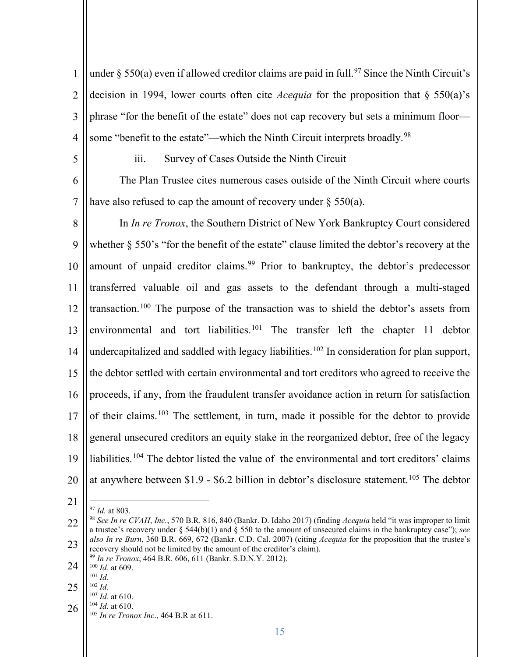1 2 3 4 under  $\S$  550(a) even if allowed creditor claims are paid in full.<sup>97</sup> Since the Ninth Circuit's decision in 1994, lower courts often cite *Acequia* for the proposition that § 550(a)'s phrase "for the benefit of the estate" does not cap recovery but sets a minimum floor some "benefit to the estate"—which the Ninth Circuit interprets broadly.<sup>98</sup>

5

#### iii. Survey of Cases Outside the Ninth Circuit

6 7 The Plan Trustee cites numerous cases outside of the Ninth Circuit where courts have also refused to cap the amount of recovery under  $\S$  550(a).

8 9 10 11 12 13 14 15 16 17 18 19 20 In *In re Tronox*, the Southern District of New York Bankruptcy Court considered whether § 550's "for the benefit of the estate" clause limited the debtor's recovery at the amount of unpaid creditor claims.<sup>99</sup> Prior to bankruptcy, the debtor's predecessor transferred valuable oil and gas assets to the defendant through a multi-staged transaction.100 The purpose of the transaction was to shield the debtor's assets from environmental and tort liabilities.<sup>101</sup> The transfer left the chapter 11 debtor undercapitalized and saddled with legacy liabilities.<sup>102</sup> In consideration for plan support, the debtor settled with certain environmental and tort creditors who agreed to receive the proceeds, if any, from the fraudulent transfer avoidance action in return for satisfaction of their claims.<sup>103</sup> The settlement, in turn, made it possible for the debtor to provide general unsecured creditors an equity stake in the reorganized debtor, free of the legacy liabilities.<sup>104</sup> The debtor listed the value of the environmental and tort creditors' claims at anywhere between \$1.9 - \$6.2 billion in debtor's disclosure statement.<sup>105</sup> The debtor

- 21
- 

- 24 <sup>100</sup> *Id.* at 609.
- $^{101}\,$   $Id.$
- 25
	- $\frac{102}{103}$  *Id.* at 610.
- 26 <sup>104</sup> *Id.* at 610.
- <sup>105</sup> *In re Tronox Inc*., 464 B.R at 611.

<sup>22</sup> 23 <sup>97</sup> *Id.* at 803.<br><sup>98</sup> *See In re CVAH*, *Inc.*, 570 B.R. 816, 840 (Bankr. D. Idaho 2017) (finding *Acequia* held "it was improper to limit a trustee's recovery under  $\S$  544(b)(1) and  $\S$  550 to the amount of unsecured claims in the bankruptcy case"); *see also In re Burn*, 360 B.R. 669, 672 (Bankr. C.D. Cal. 2007) (citing *Acequia* for the proposition that the trustee's recovery should not be limited by the amount of the creditor's claim). 99 *In re Tronox*, 464 B.R. 606, 611 (Bankr. S.D.N.Y. 2012).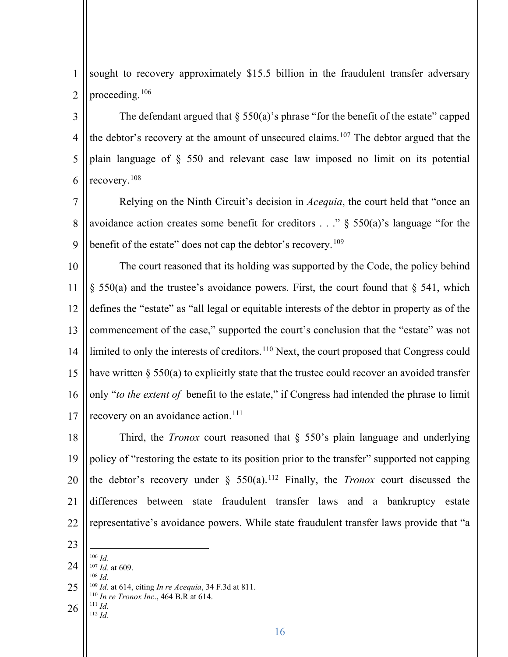1 2 sought to recovery approximately \$15.5 billion in the fraudulent transfer adversary proceeding.106

3 4 5 6 The defendant argued that  $\S$  550(a)'s phrase "for the benefit of the estate" capped the debtor's recovery at the amount of unsecured claims.<sup>107</sup> The debtor argued that the plain language of § 550 and relevant case law imposed no limit on its potential recovery.108

7 8 9 Relying on the Ninth Circuit's decision in *Acequia*, the court held that "once an avoidance action creates some benefit for creditors  $\ldots$   $\frac{8}{9}$  550(a)'s language "for the benefit of the estate" does not cap the debtor's recovery.<sup>109</sup>

10 11 12 13 14 15 16 17 The court reasoned that its holding was supported by the Code, the policy behind  $\S$  550(a) and the trustee's avoidance powers. First, the court found that  $\S$  541, which defines the "estate" as "all legal or equitable interests of the debtor in property as of the commencement of the case," supported the court's conclusion that the "estate" was not limited to only the interests of creditors.<sup>110</sup> Next, the court proposed that Congress could have written  $\S 550(a)$  to explicitly state that the trustee could recover an avoided transfer only "*to the extent of* benefit to the estate," if Congress had intended the phrase to limit recovery on an avoidance action.<sup>111</sup>

18 19 20 21 22 Third, the *Tronox* court reasoned that § 550's plain language and underlying policy of "restoring the estate to its position prior to the transfer" supported not capping the debtor's recovery under  $\S$  550(a).<sup>112</sup> Finally, the *Tronox* court discussed the differences between state fraudulent transfer laws and a bankruptcy estate representative's avoidance powers. While state fraudulent transfer laws provide that "a

<sup>24</sup> 25 26 <sup>106</sup> *Id.* <sup>107</sup> *Id.* at 609. 108 *Id.* <sup>109</sup> *Id.* at 614, citing *In re Acequia*, 34 F.3d at 811.<br><sup>110</sup> *In re Tronox Inc.*, 464 B.R at 614.<br><sup>111</sup> *Id* <sup>112</sup> *Id.*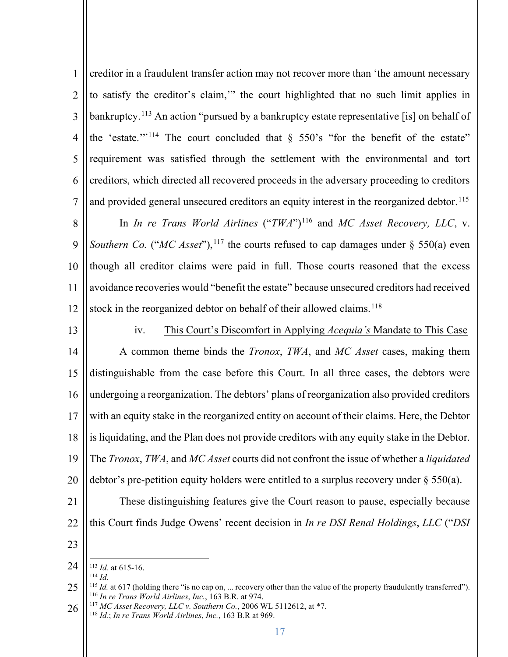1 2 3 4 5 6 7 creditor in a fraudulent transfer action may not recover more than 'the amount necessary to satisfy the creditor's claim,'" the court highlighted that no such limit applies in bankruptcy.<sup>113</sup> An action "pursued by a bankruptcy estate representative [is] on behalf of the 'estate.'"<sup>114</sup> The court concluded that  $\S$  550's "for the benefit of the estate" requirement was satisfied through the settlement with the environmental and tort creditors, which directed all recovered proceeds in the adversary proceeding to creditors and provided general unsecured creditors an equity interest in the reorganized debtor.<sup>115</sup>

8 9 10 11 12 In *In re Trans World Airlines* ("*TWA*")<sup>116</sup> and *MC Asset Recovery, LLC*, v. *Southern Co.* ("*MC Asset*"),<sup>117</sup> the courts refused to cap damages under  $\S$  550(a) even though all creditor claims were paid in full. Those courts reasoned that the excess avoidance recoveries would "benefit the estate" because unsecured creditors had received stock in the reorganized debtor on behalf of their allowed claims.<sup>118</sup>

13

14

15

16

iv. This Court's Discomfort in Applying *Acequia's* Mandate to This Case A common theme binds the *Tronox*, *TWA*, and *MC Asset* cases, making them distinguishable from the case before this Court. In all three cases, the debtors were undergoing a reorganization. The debtors' plans of reorganization also provided creditors

These distinguishing features give the Court reason to pause, especially because

this Court finds Judge Owens' recent decision in *In re DSI Renal Holdings*, *LLC* ("*DSI* 

17 18 19 20 with an equity stake in the reorganized entity on account of their claims. Here, the Debtor is liquidating, and the Plan does not provide creditors with any equity stake in the Debtor. The *Tronox*, *TWA*, and *MC Asset* courts did not confront the issue of whether a *liquidated* debtor's pre-petition equity holders were entitled to a surplus recovery under § 550(a).

- 21
- 22
- 23

<sup>24</sup> <sup>113</sup> *Id.* at 615-16.<br><sup>114</sup> *Id.* 

<sup>25</sup> <sup>115</sup> *Id.* at 617 (holding there "is no cap on, ... recovery other than the value of the property fraudulently transferred").<br><sup>116</sup> *In re Trans World Airlines, Inc.*, 163 B.R. at 974.

<sup>26</sup> <sup>116</sup> *In re Trans World Airlines*, *Inc.*, 163 B.R. at 974. 117 *MC Asset Recovery, LLC v. Southern Co.*, 2006 WL 5112612, at \*7. 118 *Id.*; *In re Trans World Airlines*, *Inc.*, 163 B.R at 969.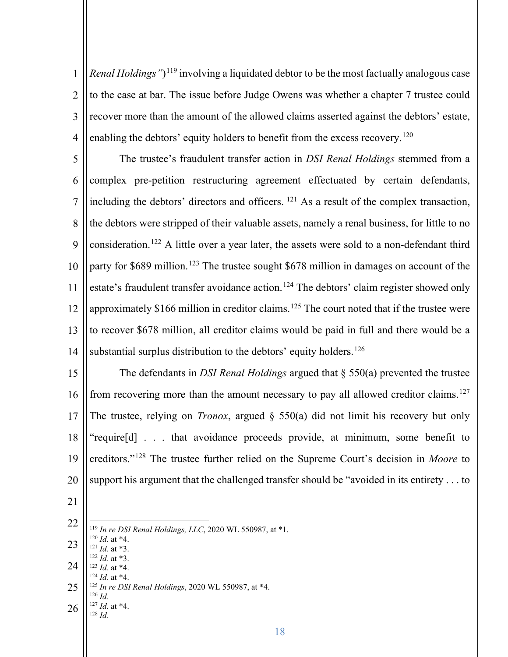1 2 3 4 *Renal Holdings"*)119 involving a liquidated debtor to be the most factually analogous case to the case at bar. The issue before Judge Owens was whether a chapter 7 trustee could recover more than the amount of the allowed claims asserted against the debtors' estate, enabling the debtors' equity holders to benefit from the excess recovery.<sup>120</sup>

5 6 7 8 9 10 11 12 13 14 The trustee's fraudulent transfer action in *DSI Renal Holdings* stemmed from a complex pre-petition restructuring agreement effectuated by certain defendants, including the debtors' directors and officers. <sup>121</sup> As a result of the complex transaction, the debtors were stripped of their valuable assets, namely a renal business, for little to no consideration.122 A little over a year later, the assets were sold to a non-defendant third party for \$689 million.<sup>123</sup> The trustee sought \$678 million in damages on account of the estate's fraudulent transfer avoidance action.<sup>124</sup> The debtors' claim register showed only approximately \$166 million in creditor claims.<sup>125</sup> The court noted that if the trustee were to recover \$678 million, all creditor claims would be paid in full and there would be a substantial surplus distribution to the debtors' equity holders.<sup>126</sup>

15 16 17 18 19 20 The defendants in *DSI Renal Holdings* argued that § 550(a) prevented the trustee from recovering more than the amount necessary to pay all allowed creditor claims.<sup>127</sup> The trustee, relying on *Tronox*, argued § 550(a) did not limit his recovery but only "require[d] . . . that avoidance proceeds provide, at minimum, some benefit to creditors."128 The trustee further relied on the Supreme Court's decision in *Moore* to support his argument that the challenged transfer should be "avoided in its entirety . . . to

- 21
- 22 23 24 25 26 119 *In re DSI Renal Holdings, LLC*, 2020 WL 550987, at \*1.<br><sup>120</sup> *Id.* at \*4.<br><sup>121</sup> *Id.* at \*3.<br><sup>122</sup> *Id.* at \*3. 123 *Id.* at \*4.<br><sup>124</sup> *Id.* at \*4.<br><sup>125</sup> *In re DSI Renal Holdings*, 2020 WL 550987, at \*4.  $126$  *Id.* <sup>127</sup> *Id.* at \*4. <sup>128</sup> *Id.*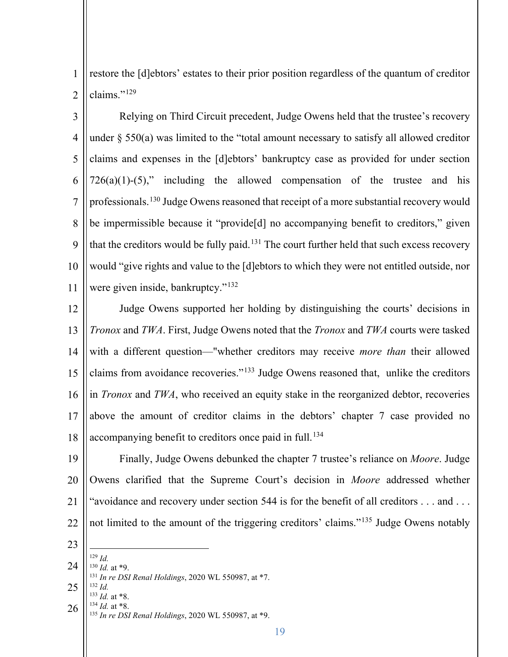1 2 restore the [d]ebtors' estates to their prior position regardless of the quantum of creditor claims."129

3 4 5 6 7 8 9 10 11 Relying on Third Circuit precedent, Judge Owens held that the trustee's recovery under § 550(a) was limited to the "total amount necessary to satisfy all allowed creditor claims and expenses in the [d]ebtors' bankruptcy case as provided for under section  $726(a)(1)-(5)$ ," including the allowed compensation of the trustee and his professionals.130 Judge Owens reasoned that receipt of a more substantial recovery would be impermissible because it "provide[d] no accompanying benefit to creditors," given that the creditors would be fully paid.<sup>131</sup> The court further held that such excess recovery would "give rights and value to the [d]ebtors to which they were not entitled outside, nor were given inside, bankruptcy."<sup>132</sup>

12 13 14 15 16 17 18 Judge Owens supported her holding by distinguishing the courts' decisions in *Tronox* and *TWA*. First, Judge Owens noted that the *Tronox* and *TWA* courts were tasked with a different question—"whether creditors may receive *more than* their allowed claims from avoidance recoveries."133 Judge Owens reasoned that, unlike the creditors in *Tronox* and *TWA*, who received an equity stake in the reorganized debtor, recoveries above the amount of creditor claims in the debtors' chapter 7 case provided no accompanying benefit to creditors once paid in full.<sup>134</sup>

- 19 20 21 22 Finally, Judge Owens debunked the chapter 7 trustee's reliance on *Moore*. Judge Owens clarified that the Supreme Court's decision in *Moore* addressed whether "avoidance and recovery under section 544 is for the benefit of all creditors . . . and . . . not limited to the amount of the triggering creditors' claims."135 Judge Owens notably
- 23
- 24  $^{129}$  *Id.*<br> $^{130}$  *Id.* at \*9.
- <sup>130</sup> *Id.* at \*9. 131 *In re DSI Renal Holdings*, 2020 WL 550987, at \*7.
- 25 26  $\frac{132}{133}$  *Id.* at \*8.
- <sup>133</sup> *Id.* at \*8. 134 *Id.* at \*8. 135 *In re DSI Renal Holdings*, 2020 WL 550987, at \*9.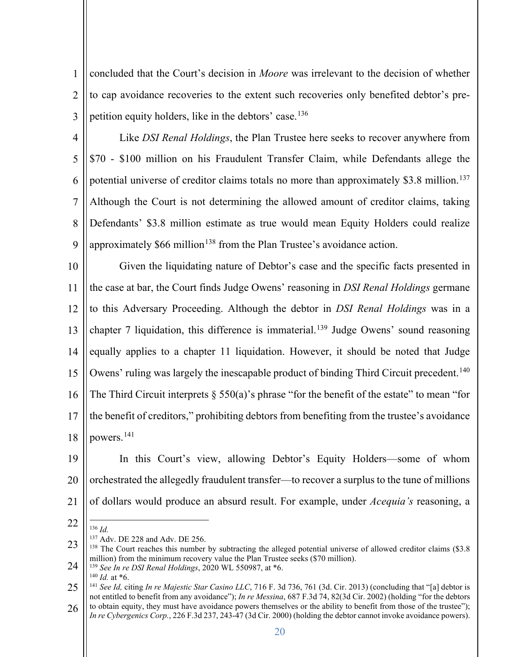1 2 3 concluded that the Court's decision in *Moore* was irrelevant to the decision of whether to cap avoidance recoveries to the extent such recoveries only benefited debtor's prepetition equity holders, like in the debtors' case.<sup>136</sup>

4 5 6 7 8 9 Like *DSI Renal Holdings*, the Plan Trustee here seeks to recover anywhere from \$70 - \$100 million on his Fraudulent Transfer Claim, while Defendants allege the potential universe of creditor claims totals no more than approximately \$3.8 million.<sup>137</sup> Although the Court is not determining the allowed amount of creditor claims, taking Defendants' \$3.8 million estimate as true would mean Equity Holders could realize approximately  $$66$  million<sup>138</sup> from the Plan Trustee's avoidance action.

10 11 12 13 14 15 16 17 18 Given the liquidating nature of Debtor's case and the specific facts presented in the case at bar, the Court finds Judge Owens' reasoning in *DSI Renal Holdings* germane to this Adversary Proceeding. Although the debtor in *DSI Renal Holdings* was in a chapter 7 liquidation, this difference is immaterial.<sup>139</sup> Judge Owens' sound reasoning equally applies to a chapter 11 liquidation. However, it should be noted that Judge Owens' ruling was largely the inescapable product of binding Third Circuit precedent.<sup>140</sup> The Third Circuit interprets  $\S$  550(a)'s phrase "for the benefit of the estate" to mean "for the benefit of creditors," prohibiting debtors from benefiting from the trustee's avoidance powers.141

- 19 20 21 In this Court's view, allowing Debtor's Equity Holders—some of whom orchestrated the allegedly fraudulent transfer—to recover a surplus to the tune of millions of dollars would produce an absurd result. For example, under *Acequia's* reasoning, a
- 22

<sup>140</sup> *Id.* at \*6.

<sup>136</sup> *Id.* <sup>137</sup> Adv. DE 228 and Adv. DE 256.

<sup>23</sup> 24 <sup>138</sup> The Court reaches this number by subtracting the alleged potential universe of allowed creditor claims (\$3.8) million) from the minimum recovery value the Plan Trustee seeks (\$70 million). 139 *See In re DSI Renal Holdings*, 2020 WL 550987, at \*6.

<sup>25</sup> <sup>141</sup> *See Id,* citing *In re Majestic Star Casino LLC*, 716 F. 3d 736, 761 (3d. Cir. 2013) (concluding that "[a] debtor is not entitled to benefit from any avoidance"); *In re Messina*, 687 F.3d 74, 82(3d Cir. 2002) (holding "for the debtors to obtain equity, they must have avoidance powers themselves or the ability to benefit from those of the trustee");

<sup>26</sup> *In re Cybergenics Corp.*, 226 F.3d 237, 243-47 (3d Cir. 2000) (holding the debtor cannot invoke avoidance powers).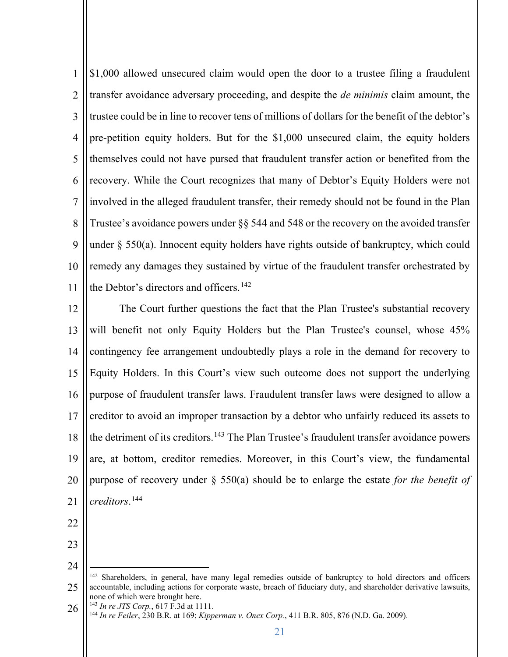1 2 3 4 5 6 7 8 9 10 11 \$1,000 allowed unsecured claim would open the door to a trustee filing a fraudulent transfer avoidance adversary proceeding, and despite the *de minimis* claim amount, the trustee could be in line to recover tens of millions of dollars for the benefit of the debtor's pre-petition equity holders. But for the \$1,000 unsecured claim, the equity holders themselves could not have pursed that fraudulent transfer action or benefited from the recovery. While the Court recognizes that many of Debtor's Equity Holders were not involved in the alleged fraudulent transfer, their remedy should not be found in the Plan Trustee's avoidance powers under §§ 544 and 548 or the recovery on the avoided transfer under  $\S$  550(a). Innocent equity holders have rights outside of bankruptcy, which could remedy any damages they sustained by virtue of the fraudulent transfer orchestrated by the Debtor's directors and officers.<sup>142</sup>

12 13 14 15 16 17 18 19 20 21 The Court further questions the fact that the Plan Trustee's substantial recovery will benefit not only Equity Holders but the Plan Trustee's counsel, whose 45% contingency fee arrangement undoubtedly plays a role in the demand for recovery to Equity Holders. In this Court's view such outcome does not support the underlying purpose of fraudulent transfer laws. Fraudulent transfer laws were designed to allow a creditor to avoid an improper transaction by a debtor who unfairly reduced its assets to the detriment of its creditors.<sup>143</sup> The Plan Trustee's fraudulent transfer avoidance powers are, at bottom, creditor remedies. Moreover, in this Court's view, the fundamental purpose of recovery under § 550(a) should be to enlarge the estate *for the benefit of creditors*. 144

- 22
- 23

<sup>25</sup> <sup>142</sup> Shareholders, in general, have many legal remedies outside of bankruptcy to hold directors and officers accountable, including actions for corporate waste, breach of fiduciary duty, and shareholder derivative lawsuits, none of which were brought here.

<sup>26</sup> <sup>143</sup> *In re JTS Corp.*, 617 F.3d at 1111. <sup>144</sup> *In re Feiler*, 230 B.R. at 169; *Kipperman v. Onex Corp.*, 411 B.R. 805, 876 (N.D. Ga. 2009).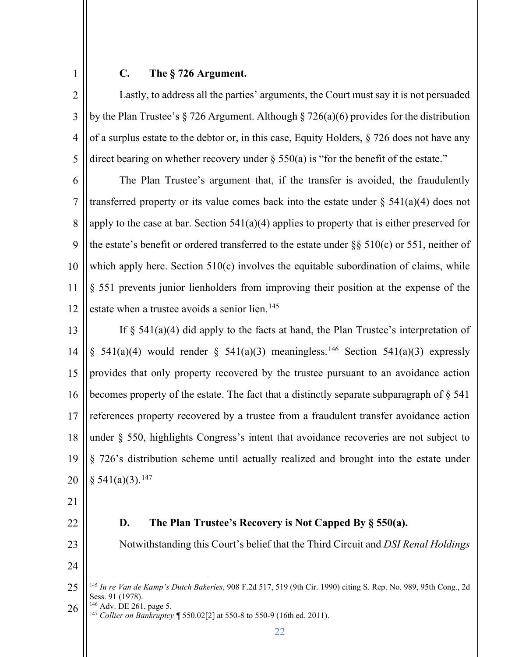1

# **C. The § 726 Argument.**

2 3 4 5 Lastly, to address all the parties' arguments, the Court must say it is not persuaded by the Plan Trustee's § 726 Argument. Although § 726(a)(6) provides for the distribution of a surplus estate to the debtor or, in this case, Equity Holders, § 726 does not have any direct bearing on whether recovery under  $\S$  550(a) is "for the benefit of the estate."

6 7 8 9 10 11 12 The Plan Trustee's argument that, if the transfer is avoided, the fraudulently transferred property or its value comes back into the estate under  $\S$  541(a)(4) does not apply to the case at bar. Section 541(a)(4) applies to property that is either preserved for the estate's benefit or ordered transferred to the estate under  $\S$ § 510(c) or 551, neither of which apply here. Section 510(c) involves the equitable subordination of claims, while § 551 prevents junior lienholders from improving their position at the expense of the estate when a trustee avoids a senior lien.<sup>145</sup>

13 14 15 16 17 18 19 20 If  $\S$  541(a)(4) did apply to the facts at hand, the Plan Trustee's interpretation of § 541(a)(4) would render § 541(a)(3) meaningless.<sup>146</sup> Section 541(a)(3) expressly provides that only property recovered by the trustee pursuant to an avoidance action becomes property of the estate. The fact that a distinctly separate subparagraph of § 541 references property recovered by a trustee from a fraudulent transfer avoidance action under § 550, highlights Congress's intent that avoidance recoveries are not subject to § 726's distribution scheme until actually realized and brought into the estate under  $§ 541(a)(3).<sup>147</sup>$ 

- 21
- 22
- 23

**D. The Plan Trustee's Recovery is Not Capped By § 550(a).** 

Notwithstanding this Court's belief that the Third Circuit and *DSI Renal Holdings*

24

26 <sup>147</sup> Collier on Bankruptcy ¶ 550.02[2] at 550-8 to 550-9 (16th ed. 2011).

<sup>25</sup> <sup>145</sup> *In re Van de Kamp's Dutch Bakeries*, 908 F.2d 517, 519 (9th Cir. 1990) citing S. Rep. No. 989, 95th Cong., 2d Sess. 91 (1978).<br><sup>146</sup> Adv. DE 261, page 5.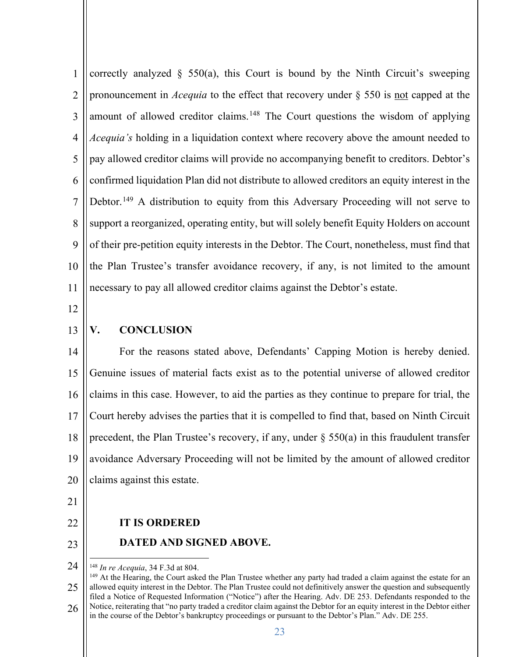1 2 3 4 5 6 7 8 9 10 11 correctly analyzed  $\S$  550(a), this Court is bound by the Ninth Circuit's sweeping pronouncement in *Acequia* to the effect that recovery under § 550 is not capped at the amount of allowed creditor claims.<sup>148</sup> The Court questions the wisdom of applying *Acequia's* holding in a liquidation context where recovery above the amount needed to pay allowed creditor claims will provide no accompanying benefit to creditors. Debtor's confirmed liquidation Plan did not distribute to allowed creditors an equity interest in the Debtor.<sup>149</sup> A distribution to equity from this Adversary Proceeding will not serve to support a reorganized, operating entity, but will solely benefit Equity Holders on account of their pre-petition equity interests in the Debtor. The Court, nonetheless, must find that the Plan Trustee's transfer avoidance recovery, if any, is not limited to the amount necessary to pay all allowed creditor claims against the Debtor's estate.

12

13 **V. CONCLUSION** 

14 15 16 17 18 19 20 For the reasons stated above, Defendants' Capping Motion is hereby denied. Genuine issues of material facts exist as to the potential universe of allowed creditor claims in this case. However, to aid the parties as they continue to prepare for trial, the Court hereby advises the parties that it is compelled to find that, based on Ninth Circuit precedent, the Plan Trustee's recovery, if any, under  $\S$  550(a) in this fraudulent transfer avoidance Adversary Proceeding will not be limited by the amount of allowed creditor claims against this estate.

- 21
- 22 23

### **IT IS ORDERED**

**DATED AND SIGNED ABOVE.** 

<sup>24</sup>

<sup>25</sup> 26 <sup>148</sup> *In re Acequia*, 34 F.3d at 804.<br><sup>149</sup> At the Hearing, the Court asked the Plan Trustee whether any party had traded a claim against the estate for an allowed equity interest in the Debtor. The Plan Trustee could not definitively answer the question and subsequently filed a Notice of Requested Information ("Notice") after the Hearing. Adv. DE 253. Defendants responded to the Notice, reiterating that "no party traded a creditor claim against the Debtor for an equity interest in the Debtor either in the course of the Debtor's bankruptcy proceedings or pursuant to the Debtor's Plan." Adv. DE 255.